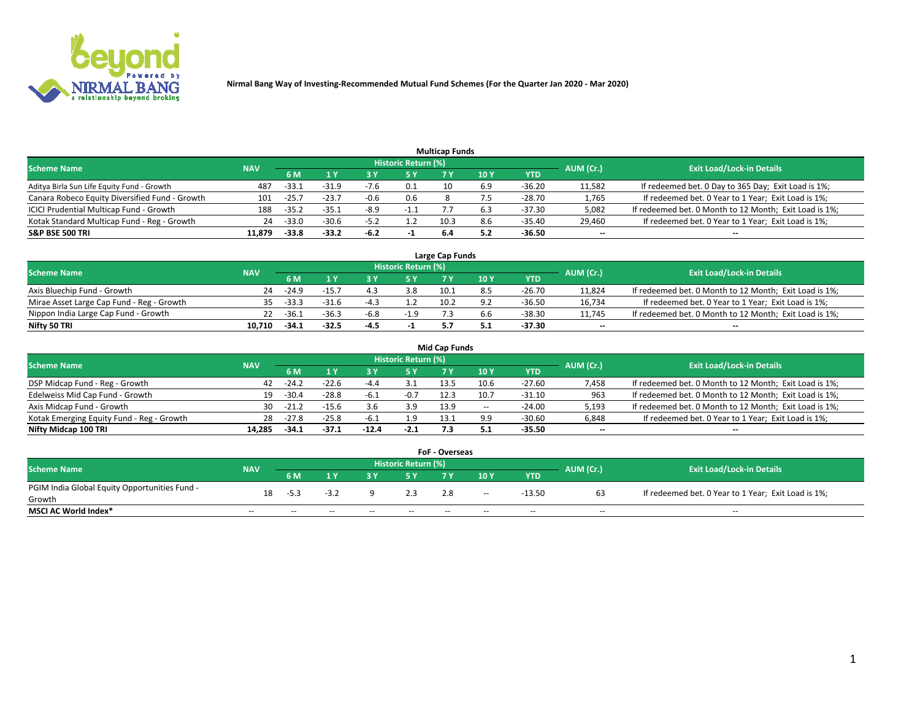

| <b>Multicap Funds</b>                          |            |         |         |        |                     |      |     |          |           |                                                        |  |  |  |  |
|------------------------------------------------|------------|---------|---------|--------|---------------------|------|-----|----------|-----------|--------------------------------------------------------|--|--|--|--|
| Scheme Name                                    | <b>NAV</b> |         |         |        | Historic Return (%) |      |     |          | AUM (Cr.) | <b>Exit Load/Lock-in Details</b>                       |  |  |  |  |
|                                                |            |         |         |        | 5 Y                 | 7 Y  | 10Y | YTD      |           |                                                        |  |  |  |  |
| Aditya Birla Sun Life Equity Fund - Growth     | 487        | -33.1   | $-31.9$ | -7.6   | 0.1                 | 10   | ô.9 | -36.20   | 11,582    | If redeemed bet. 0 Day to 365 Day; Exit Load is 1%;    |  |  |  |  |
| Canara Robeco Equity Diversified Fund - Growth | 101        | $-25.7$ | $-23.7$ | $-0.6$ | 0.6                 |      |     | -28.70   | 1,765     | If redeemed bet. 0 Year to 1 Year; Exit Load is 1%;    |  |  |  |  |
| ICICI Prudential Multicap Fund - Growth        | 188        | $-35.2$ | $-35.1$ | $-8.9$ | $-1.1$              |      |     | -37.30   | 5,082     | If redeemed bet. 0 Month to 12 Month; Exit Load is 1%; |  |  |  |  |
| Kotak Standard Multicap Fund - Reg - Growth    | 24         | $-33.0$ | $-30.6$ | $-5.2$ |                     | 10.3 |     | $-35.40$ | 29,460    | If redeemed bet. 0 Year to 1 Year; Exit Load is 1%;    |  |  |  |  |
| <b>S&amp;P BSE 500 TRI</b>                     | 11.879     | $-33.8$ | -33.2   | -6.2   |                     | 6.4  |     | -36.50   | $\sim$    | $-$                                                    |  |  |  |  |

| Large Cap Funds                           |            |         |         |        |                     |      |               |          |           |                                                        |  |  |  |  |
|-------------------------------------------|------------|---------|---------|--------|---------------------|------|---------------|----------|-----------|--------------------------------------------------------|--|--|--|--|
| Scheme Name                               | <b>NAV</b> |         |         |        | Historic Return (%) |      |               |          | AUM (Cr.) | <b>Exit Load/Lock-in Details</b>                       |  |  |  |  |
|                                           |            | 6 M     |         |        | 5 Y                 | 7 V  | $\sqrt{10}$ Y | YTD      |           |                                                        |  |  |  |  |
| Axis Bluechip Fund - Growth               | 24         | $-24.9$ | $-15.7$ |        | 3.8                 | 10.1 |               | -26.70   | 11,824    | If redeemed bet. 0 Month to 12 Month; Exit Load is 1%; |  |  |  |  |
| Mirae Asset Large Cap Fund - Reg - Growth | 35.        | -33.3   | -31.6   |        |                     | 10.2 |               | $-36.50$ | 16,734    | If redeemed bet. 0 Year to 1 Year; Exit Load is 1%;    |  |  |  |  |
| Nippon India Large Cap Fund - Growth      |            | $-36.1$ | -36.3   | $-6.8$ | $-1.9$              |      |               | -38.30   | 11,745    | If redeemed bet. 0 Month to 12 Month; Exit Load is 1%; |  |  |  |  |
| Nifty 50 TRI                              | 10.710     | $-34.1$ | -32.5   | -4.5   |                     |      |               | -37.30   | $\sim$    | $-$                                                    |  |  |  |  |

| <b>Mid Cap Funds</b>                      |            |         |         |         |                     |      |        |            |           |                                                        |  |  |  |  |
|-------------------------------------------|------------|---------|---------|---------|---------------------|------|--------|------------|-----------|--------------------------------------------------------|--|--|--|--|
| <b>Scheme Name</b>                        | <b>NAV</b> |         |         |         | Historic Return (%) |      |        |            | AUM (Cr.) | <b>Exit Load/Lock-in Details</b>                       |  |  |  |  |
|                                           |            | 6 M     |         |         | 5 Y                 |      | 10 Y   | <b>YTD</b> |           |                                                        |  |  |  |  |
| DSP Midcap Fund - Reg - Growth            | 42         | $-24.2$ | $-22.6$ | -4.4    |                     | 13.5 | 10.6   | $-27.60$   | 7,458     | If redeemed bet. 0 Month to 12 Month; Exit Load is 1%; |  |  |  |  |
| Edelweiss Mid Cap Fund - Growth           |            | $-30.4$ | $-28.8$ | -6.⊥    | $-0.7$              | 12.3 | 10.7   | $-31.10$   | 963       | If redeemed bet. 0 Month to 12 Month; Exit Load is 1%; |  |  |  |  |
| Axis Midcap Fund - Growth                 | 30         | $-21.2$ | $-15.6$ | 3.6     | 3.9                 | 13.9 | $\sim$ | $-24.00$   | 5,193     | If redeemed bet. 0 Month to 12 Month; Exit Load is 1%; |  |  |  |  |
| Kotak Emerging Equity Fund - Reg - Growth | 28         | $-27.8$ | $-25.8$ | $-6.1$  | 1.9                 | 13.1 | 9.9    | $-30.60$   | 6,848     | If redeemed bet. 0 Year to 1 Year; Exit Load is 1%;    |  |  |  |  |
| Nifty Midcap 100 TRI                      | 14.285     | $-34.1$ | $-37.1$ | $-12.4$ | $-2.1$              |      |        | $-35.50$   | $\sim$    | $\sim$                                                 |  |  |  |  |

| <b>FoF - Overseas</b>                         |            |       |        |       |                            |      |       |            |           |                                                     |  |  |  |  |
|-----------------------------------------------|------------|-------|--------|-------|----------------------------|------|-------|------------|-----------|-----------------------------------------------------|--|--|--|--|
| <b>Scheme Name</b>                            | <b>NAV</b> |       |        |       | <b>Historic Return (%)</b> |      |       |            | AUM (Cr.) | <b>Exit Load/Lock-in Details</b>                    |  |  |  |  |
|                                               |            | 6 M   |        |       |                            |      | 10Y   | <b>YTD</b> |           |                                                     |  |  |  |  |
| PGIM India Global Equity Opportunities Fund - | 18         |       | $-3.2$ |       |                            | 2.8  | $- -$ | -13.50     |           | If redeemed bet. 0 Year to 1 Year; Exit Load is 1%; |  |  |  |  |
| Growth                                        |            | -5.3  |        |       |                            |      |       |            |           |                                                     |  |  |  |  |
| <b>MSCI AC World Index*</b>                   | $ -$       | $- -$ | $- -$  | $- -$ | $- -$                      | $ -$ | $- -$ | $- -$      | $- -$     | $- -$                                               |  |  |  |  |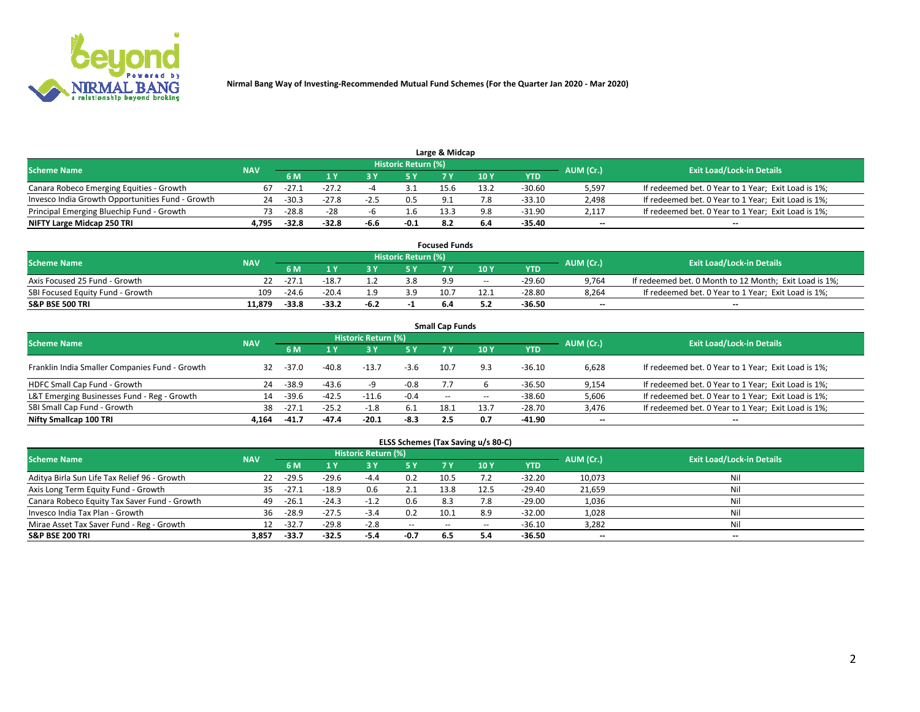

| Large & Midcap<br>Historic Return (%)            |            |         |         |        |        |      |      |        |                          |                                                     |  |  |  |  |
|--------------------------------------------------|------------|---------|---------|--------|--------|------|------|--------|--------------------------|-----------------------------------------------------|--|--|--|--|
| <b>Scheme Name</b>                               | <b>NAV</b> |         |         |        |        |      |      |        | AUM (Cr.)                | <b>Exit Load/Lock-in Details</b>                    |  |  |  |  |
|                                                  |            | 6 M     |         |        | 5 Y    |      | 10Y  | YTD.   |                          |                                                     |  |  |  |  |
| Canara Robeco Emerging Equities - Growth         | 67         | -27.1   | $-27.2$ |        |        | 15.6 | 13.2 | -30.60 | 5,597                    | If redeemed bet. 0 Year to 1 Year; Exit Load is 1%; |  |  |  |  |
| Invesco India Growth Opportunities Fund - Growth | 24         | $-30.3$ | $-27.8$ | $-2.5$ | 0.5    |      | 7.8  | -33.10 | 2,498                    | If redeemed bet. 0 Year to 1 Year; Exit Load is 1%; |  |  |  |  |
| Principal Emerging Bluechip Fund - Growth        |            | $-28.8$ | $-28$   |        | 1.b    | 13.3 | 9.8  | -31.90 | 2,117                    | If redeemed bet. 0 Year to 1 Year; Exit Load is 1%; |  |  |  |  |
| NIFTY Large Midcap 250 TRI                       | 4.795      | $-32.8$ | $-32.8$ | -6.6   | $-0.1$ |      | 6.4  | -35.40 | $\overline{\phantom{a}}$ | $-$                                                 |  |  |  |  |

| <b>Focused Funds</b>             |            |         |         |      |                     |      |       |          |           |                                                        |  |  |  |
|----------------------------------|------------|---------|---------|------|---------------------|------|-------|----------|-----------|--------------------------------------------------------|--|--|--|
| <b>Scheme Name</b>               | <b>NAV</b> |         |         |      | Historic Return (%) |      |       |          |           | <b>Exit Load/Lock-in Details</b>                       |  |  |  |
|                                  |            | 6 M     |         |      |                     |      | 10 Y  | YTD      | AUM (Cr.) |                                                        |  |  |  |
| Axis Focused 25 Fund - Growth    |            | $-27.1$ | -18.    |      | 3.8                 | -9.9 | $- -$ | $-29.60$ | 9,764     | If redeemed bet. 0 Month to 12 Month; Exit Load is 1%; |  |  |  |
| SBI Focused Equity Fund - Growth | 109        | $-24.6$ | $-20.4$ |      | 3.9                 | 10.7 | 12.1  | $-28.80$ | 8.264     | If redeemed bet. 0 Year to 1 Year; Exit Load is 1%;    |  |  |  |
| <b>S&amp;P BSE 500 TRI</b>       | 11.879     | $-33.8$ | $-33.2$ | -6.2 |                     |      |       | -36.50   | $\sim$    | $- -$                                                  |  |  |  |

| <b>Small Cap Funds</b>                         |            |         |         |                     |           |      |       |            |                          |                                                     |  |  |  |  |
|------------------------------------------------|------------|---------|---------|---------------------|-----------|------|-------|------------|--------------------------|-----------------------------------------------------|--|--|--|--|
| <b>Scheme Name</b>                             | <b>NAV</b> |         |         | Historic Return (%) |           |      |       |            |                          | <b>Exit Load/Lock-in Details</b>                    |  |  |  |  |
|                                                |            | 6 M     |         |                     | <b>5Y</b> |      | 10Y   | <b>YTD</b> | AUM (Cr.)                |                                                     |  |  |  |  |
| Franklin India Smaller Companies Fund - Growth | 32         | $-37.0$ | $-40.8$ | $-13.7$             | $-3.6$    | 10.7 | 9.3   | $-36.10$   | 6,628                    | If redeemed bet. 0 Year to 1 Year; Exit Load is 1%; |  |  |  |  |
| HDFC Small Cap Fund - Growth                   | 24         | $-38.9$ | $-43.6$ |                     | $-0.8$    |      |       | -36.50     | 9,154                    | If redeemed bet. 0 Year to 1 Year; Exit Load is 1%; |  |  |  |  |
| L&T Emerging Businesses Fund - Reg - Growth    | 14         | $-39.6$ | $-42.5$ | $-11.6$             | $-0.4$    | $-$  | $- -$ | $-38.60$   | 5,606                    | If redeemed bet. 0 Year to 1 Year; Exit Load is 1%; |  |  |  |  |
| SBI Small Cap Fund - Growth                    | 38         | $-27.1$ | $-25.2$ | $-1.8$              | 6.1       | 18.1 | 13.7  | $-28.70$   | 3,476                    | If redeemed bet. 0 Year to 1 Year; Exit Load is 1%; |  |  |  |  |
| Nifty Smallcap 100 TRI                         | 4.164      | -41.7   | $-47.4$ | $-20.1$             | $-8.3$    | 2.5  | 0.7   | -41.90     | $\overline{\phantom{a}}$ | $- -$                                               |  |  |  |  |

## **ELSS Schemes (Tax Saving u/s 80-C)**

| <b>Scheme Name</b>                           | <b>NAV</b> |         |         | <b>Historic Return (%)</b> |           |      |      |          | AUM (Cr.) | <b>Exit Load/Lock-in Details</b> |
|----------------------------------------------|------------|---------|---------|----------------------------|-----------|------|------|----------|-----------|----------------------------------|
|                                              |            | 6 M     | 1 Y     | 3 Y                        | <b>5Y</b> | 7 Y  | 10Y  | YTD      |           |                                  |
| Aditya Birla Sun Life Tax Relief 96 - Growth | 22         | $-29.5$ | $-29.6$ | $-4.4$                     | 0.2       | 10.5 |      | $-32.20$ | 10,073    | Nil                              |
| Axis Long Term Equity Fund - Growth          | 35         | $-27.1$ | $-18.9$ | 0.6                        | 2.1       | 13.8 | 12.5 | $-29.40$ | 21,659    | Nil                              |
| Canara Robeco Equity Tax Saver Fund - Growth | 49         | $-26.1$ | $-24.3$ | $-1.2$                     | 0.6       | 8.3  |      | $-29.00$ | 1,036     | Nil                              |
| Invesco India Tax Plan - Growth              | 36         | $-28.9$ | $-27.5$ | $-3.4$                     | 0.2       | 10.1 | 8.9  | $-32.00$ | 1,028     | Nil                              |
| Mirae Asset Tax Saver Fund - Reg - Growth    |            | $-32.7$ | $-29.8$ | $-2.8$                     | $- -$     | --   |      | $-36.10$ | 3,282     | Nil                              |
| S&P BSE 200 TRI                              | 3.857      | $-33.7$ | -32.5   | -5.4                       | -0.7      | -6.5 | 5.4  | -36.50   | $-$       | $- -$                            |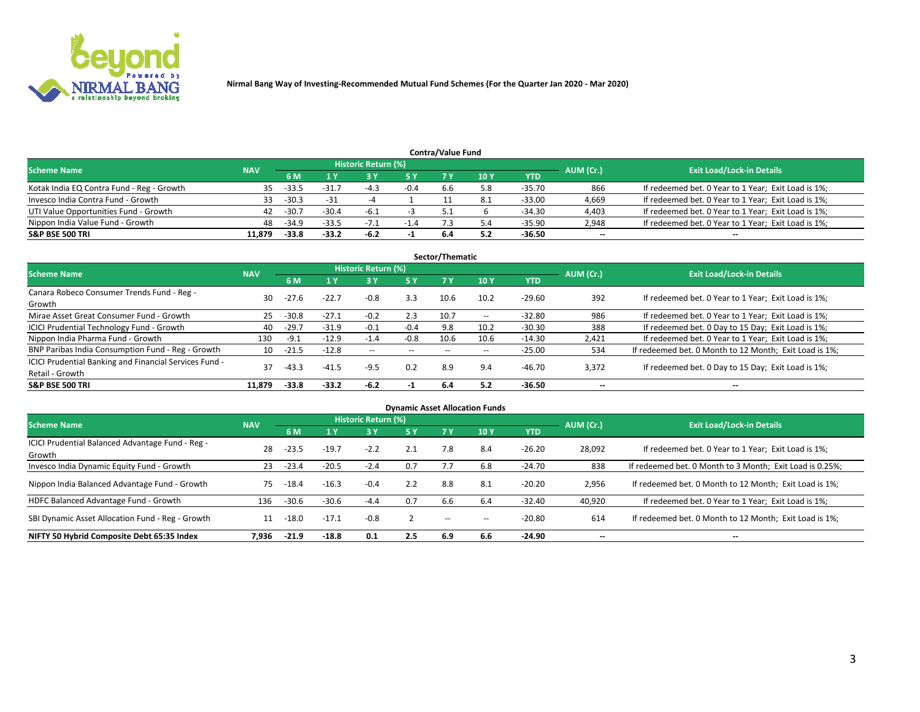

|                                           |            |         |         |                     |        | <b>Contra/Value Fund</b> |     |        |           |                                                     |
|-------------------------------------------|------------|---------|---------|---------------------|--------|--------------------------|-----|--------|-----------|-----------------------------------------------------|
| <b>Scheme Name</b>                        | <b>NAV</b> |         |         | Historic Return (%) |        |                          |     |        | AUM (Cr.) | <b>Exit Load/Lock-in Details</b>                    |
|                                           |            | 6 M     |         |                     | 5 Y    | 7 V                      | 10Y | YTD    |           |                                                     |
| Kotak India EQ Contra Fund - Reg - Growth | 35         | $-33.5$ | $-31.7$ |                     | $-0.4$ | b.b                      | 5.8 | -35.70 | 866       | If redeemed bet. 0 Year to 1 Year; Exit Load is 1%; |
| Invesco India Contra Fund - Growth        | 33.        | $-30.3$ | $-31$   |                     |        |                          |     | -33.00 | 4,669     | If redeemed bet. 0 Year to 1 Year; Exit Load is 1%; |
| UTI Value Opportunities Fund - Growth     | 42         | $-30.7$ | $-30.4$ | -6.1                |        |                          |     | -34.30 | 4,403     | If redeemed bet. 0 Year to 1 Year; Exit Load is 1%; |
| Nippon India Value Fund - Growth          | 48         | $-34.9$ | $-33.5$ | $-1$                | $-1.4$ |                          |     | -35.90 | 2,948     | If redeemed bet. 0 Year to 1 Year; Exit Load is 1%; |
| <b>S&amp;P BSE 500 TRI</b>                | 11.879     | $-33.8$ | $-33.2$ | -6.2                |        | 6.4                      |     | -36.50 | $\sim$    | $- -$                                               |

|                                                                           |            |             |         |                     |        | Sector/Thematic |                          |            |                          |                                                        |
|---------------------------------------------------------------------------|------------|-------------|---------|---------------------|--------|-----------------|--------------------------|------------|--------------------------|--------------------------------------------------------|
| <b>Scheme Name</b>                                                        | <b>NAV</b> |             |         | Historic Return (%) |        |                 |                          |            | AUM (Cr.)                | <b>Exit Load/Lock-in Details</b>                       |
|                                                                           |            | 6 M         | 1 Y     | 73 Y                | 15 Y   | 7 Y             | 10Y                      | <b>YTD</b> |                          |                                                        |
| Canara Robeco Consumer Trends Fund - Reg -<br>Growth                      | 30         | $-27.6$     | $-22.7$ | $-0.8$              | 3.3    | 10.6            | 10.2                     | $-29.60$   | 392                      | If redeemed bet. 0 Year to 1 Year; Exit Load is 1%;    |
| Mirae Asset Great Consumer Fund - Growth                                  | 25         | $-30.8$     | $-27.1$ | $-0.2$              | 2.3    | 10.7            | $\overline{\phantom{a}}$ | $-32.80$   | 986                      | If redeemed bet. 0 Year to 1 Year; Exit Load is 1%;    |
| ICICI Prudential Technology Fund - Growth                                 | 40         | $-29.7$     | $-31.9$ | -0.1                | $-0.4$ | 9.8             | 10.2                     | $-30.30$   | 388                      | If redeemed bet. 0 Day to 15 Day; Exit Load is 1%;     |
| Nippon India Pharma Fund - Growth                                         | 130        | -9.1        | $-12.9$ | $-1.4$              | $-0.8$ | 10.6            | 10.6                     | $-14.30$   | 2,421                    | If redeemed bet. 0 Year to 1 Year; Exit Load is 1%;    |
| BNP Paribas India Consumption Fund - Reg - Growth                         |            | $10 - 21.5$ | $-12.8$ | $\sim$              | $- -$  | $- -$           | $- -$                    | $-25.00$   | 534                      | If redeemed bet. 0 Month to 12 Month; Exit Load is 1%; |
| ICICI Prudential Banking and Financial Services Fund -<br>Retail - Growth | 37         | $-43.3$     | $-41.5$ | $-9.5$              | 0.2    | 8.9             | 9.4                      | $-46.70$   | 3,372                    | If redeemed bet. 0 Day to 15 Day; Exit Load is 1%;     |
| <b>S&amp;P BSE 500 TRI</b>                                                | 11.879     | $-33.8$     | $-33.2$ | $-6.2$              | - 1    | 6.4             | 5.2                      | $-36.50$   | $\overline{\phantom{a}}$ | $\overline{\phantom{a}}$                               |

|                                                            |            |         |         |                     |     |        | <b>Dynamic Asset Allocation Funds</b> |            |           |                                                          |
|------------------------------------------------------------|------------|---------|---------|---------------------|-----|--------|---------------------------------------|------------|-----------|----------------------------------------------------------|
| <b>Scheme Name</b>                                         | <b>NAV</b> |         |         | Historic Return (%) |     |        |                                       |            | AUM (Cr.) | <b>Exit Load/Lock-in Details</b>                         |
|                                                            |            | 6 M     |         | 3 Y                 | 5 Y | 7 Y    | 10 <sub>1</sub>                       | <b>YTD</b> |           |                                                          |
| ICICI Prudential Balanced Advantage Fund - Reg -<br>Growth | 28         | $-23.5$ | $-19.7$ | $-2.2$              | 2.1 | 7.8    | 8.4                                   | $-26.20$   | 28,092    | If redeemed bet. 0 Year to 1 Year; Exit Load is 1%;      |
| Invesco India Dynamic Equity Fund - Growth                 | 23         | $-23.4$ | $-20.5$ | $-2.4$              | 0.7 | 7.7    | 6.8                                   | $-24.70$   | 838       | If redeemed bet. 0 Month to 3 Month; Exit Load is 0.25%; |
| Nippon India Balanced Advantage Fund - Growth              | 75         | $-18.4$ | $-16.3$ | $-0.4$              | 2.2 | 8.8    | 8.1                                   | $-20.20$   | 2,956     | If redeemed bet. 0 Month to 12 Month; Exit Load is 1%;   |
| HDFC Balanced Advantage Fund - Growth                      | 136        | $-30.6$ | $-30.6$ | $-4.4$              | 0.7 | 6.6    | 6.4                                   | $-32.40$   | 40,920    | If redeemed bet. 0 Year to 1 Year; Exit Load is 1%;      |
| SBI Dynamic Asset Allocation Fund - Reg - Growth           | 11         | $-18.0$ | $-17.1$ | $-0.8$              |     | $\sim$ | --                                    | $-20.80$   | 614       | If redeemed bet. 0 Month to 12 Month; Exit Load is 1%;   |
| NIFTY 50 Hybrid Composite Debt 65:35 Index                 | 7.936      | $-21.9$ | $-18.8$ | 0.1                 | 2.5 | 6.9    | 6.6                                   | $-24.90$   | --        | --                                                       |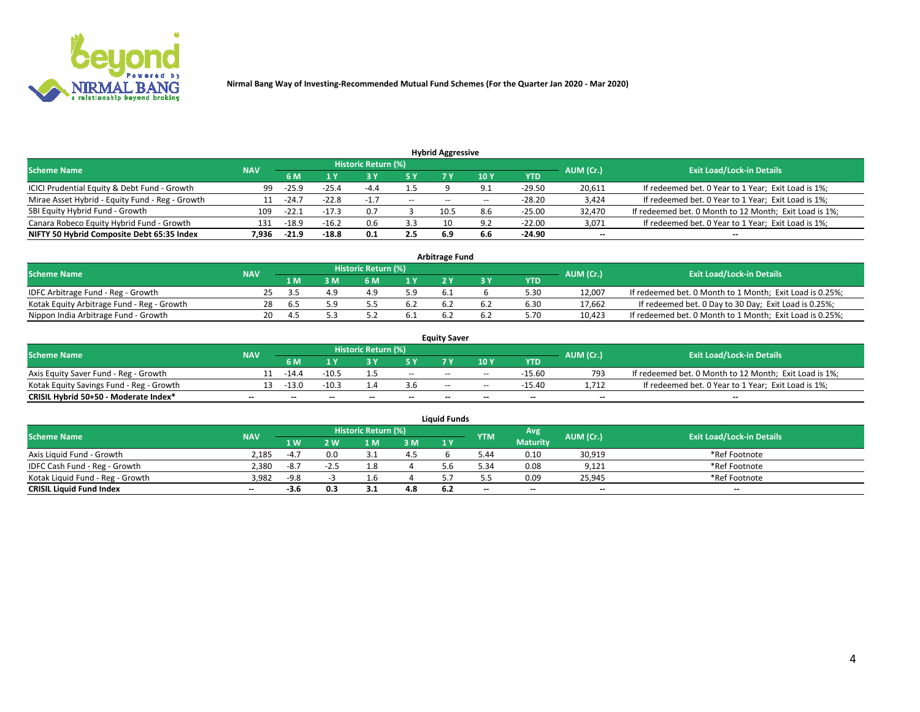

|                                                                                                          |       |         |         |        |         | <b>Hybrid Aggressive</b> |      |            |        |                                                        |  |  |  |  |
|----------------------------------------------------------------------------------------------------------|-------|---------|---------|--------|---------|--------------------------|------|------------|--------|--------------------------------------------------------|--|--|--|--|
| Historic Return (%)<br><b>Exit Load/Lock-in Details</b><br>AUM (Cr.)<br><b>Scheme Name</b><br><b>NAV</b> |       |         |         |        |         |                          |      |            |        |                                                        |  |  |  |  |
|                                                                                                          |       | 6 M     | 1 Y     |        | 5 Y     |                          | 10 Y | <b>YTD</b> |        |                                                        |  |  |  |  |
| ICICI Prudential Equity & Debt Fund - Growth                                                             | 99    | $-25.9$ | $-25.4$ | -4.4   | $1.5\,$ |                          | 9.1  | $-29.50$   | 20,611 | If redeemed bet. 0 Year to 1 Year; Exit Load is 1%;    |  |  |  |  |
| Mirae Asset Hybrid - Equity Fund - Reg - Growth                                                          |       | $-24.7$ | $-22.8$ | $-1.7$ | $ -$    | $- -$                    |      | $-28.20$   | 3,424  | If redeemed bet. 0 Year to 1 Year; Exit Load is 1%;    |  |  |  |  |
| SBI Equity Hybrid Fund - Growth                                                                          | 109   | $-22.1$ |         | 0.7    |         | 10.5                     | 8.6  | $-25.00$   | 32,470 | If redeemed bet. 0 Month to 12 Month; Exit Load is 1%; |  |  |  |  |
| Canara Robeco Equity Hybrid Fund - Growth                                                                | 131   | $-18.9$ | $-16.2$ |        | 3.3     |                          | O.   | $-22.00$   | 3,071  | If redeemed bet. 0 Year to 1 Year; Exit Load is 1%;    |  |  |  |  |
| NIFTY 50 Hybrid Composite Debt 65:35 Index                                                               | 7.936 | $-21.9$ | $-18.8$ | 0.1    | 2.5     | 6.9                      | 6.6  | -24.90     | $\sim$ | $\overline{\phantom{a}}$                               |  |  |  |  |

|                                            |            |           |                                  |     |     | <b>Arbitrage Fund</b> |      |        |                                                          |
|--------------------------------------------|------------|-----------|----------------------------------|-----|-----|-----------------------|------|--------|----------------------------------------------------------|
| <b>Scheme Name</b>                         | <b>NAV</b> | AUM (Cr.) | <b>Exit Load/Lock-in Details</b> |     |     |                       |      |        |                                                          |
|                                            |            | 1 M       | ያ M                              | 6 M |     |                       | YTD  |        |                                                          |
| IDFC Arbitrage Fund - Reg - Growth         |            |           |                                  |     | 5.9 | b.1                   | 5.30 | 12,007 | If redeemed bet. 0 Month to 1 Month; Exit Load is 0.25%; |
| Kotak Equity Arbitrage Fund - Reg - Growth | 28         | 6.5       | tΩ                               |     | 6.2 |                       | 6.30 | 17,662 | If redeemed bet. 0 Day to 30 Day; Exit Load is 0.25%;    |
| Nippon India Arbitrage Fund - Growth       | 20.        | ு.        |                                  |     | 0.1 |                       | 5.70 | 10,423 | If redeemed bet. 0 Month to 1 Month; Exit Load is 0.25%; |

|                                          |            |           |                                  |                          |                          | <b>Equity Saver</b>      |               |            |                          |                                                        |
|------------------------------------------|------------|-----------|----------------------------------|--------------------------|--------------------------|--------------------------|---------------|------------|--------------------------|--------------------------------------------------------|
| Scheme Name                              | <b>NAV</b> | AUM (Cr.) | <b>Exit Load/Lock-in Details</b> |                          |                          |                          |               |            |                          |                                                        |
|                                          |            | 6 M       |                                  |                          | 5 Y                      |                          | $\sqrt{10}$ Y | <b>YTD</b> |                          |                                                        |
| Axis Equity Saver Fund - Reg - Growth    |            | $-14.4$   | $-10.5$                          |                          | $\sim$                   | $\overline{\phantom{a}}$ | $\sim$        | -15.60     | 793                      | If redeemed bet. 0 Month to 12 Month; Exit Load is 1%; |
| Kotak Equity Savings Fund - Reg - Growth |            | -13.0     | $-10.3$                          |                          | 3.6                      | $- -$                    | $- -$         | -15.40     | 1.712                    | If redeemed bet. 0 Year to 1 Year; Exit Load is 1%;    |
| CRISIL Hybrid 50+50 - Moderate Index*    |            | $- -$     | $-$                              | $\overline{\phantom{a}}$ | $\overline{\phantom{a}}$ | $\sim$                   | --            | $\sim$     | $\overline{\phantom{a}}$ | $- -$                                                  |

| <b>Liquid Funds</b>              |            |        |      |                            |     |      |            |                 |           |                                  |  |  |  |  |
|----------------------------------|------------|--------|------|----------------------------|-----|------|------------|-----------------|-----------|----------------------------------|--|--|--|--|
| Scheme Name                      | <b>NAV</b> |        |      | <b>Historic Return (%)</b> |     |      | <b>YTM</b> | Avg             | AUM (Cr.) | <b>Exit Load/Lock-in Details</b> |  |  |  |  |
|                                  |            | 1 W.   | 2 W  | 1 M                        | 3M  | 71 Y |            | <b>Maturity</b> |           |                                  |  |  |  |  |
| Axis Liquid Fund - Growth        | 2,185      | $-4.7$ | 0.0  |                            | 4.5 |      | 44.د       | 0.10            | 30,919    | *Ref Footnote                    |  |  |  |  |
| IDFC Cash Fund - Reg - Growth    | 2,380      | -8.7   | -2.5 |                            |     |      | 5.34       | 0.08            | 9,121     | *Ref Footnote                    |  |  |  |  |
| Kotak Liquid Fund - Reg - Growth | 3.982      | $-9.8$ |      |                            |     |      |            | 0.09            | 25,945    | *Ref Footnote                    |  |  |  |  |
| <b>CRISIL Liquid Fund Index</b>  | $\sim$     |        | 0.3  |                            | 4.8 |      | $- -$      | $-$             | $- -$     | $\sim$                           |  |  |  |  |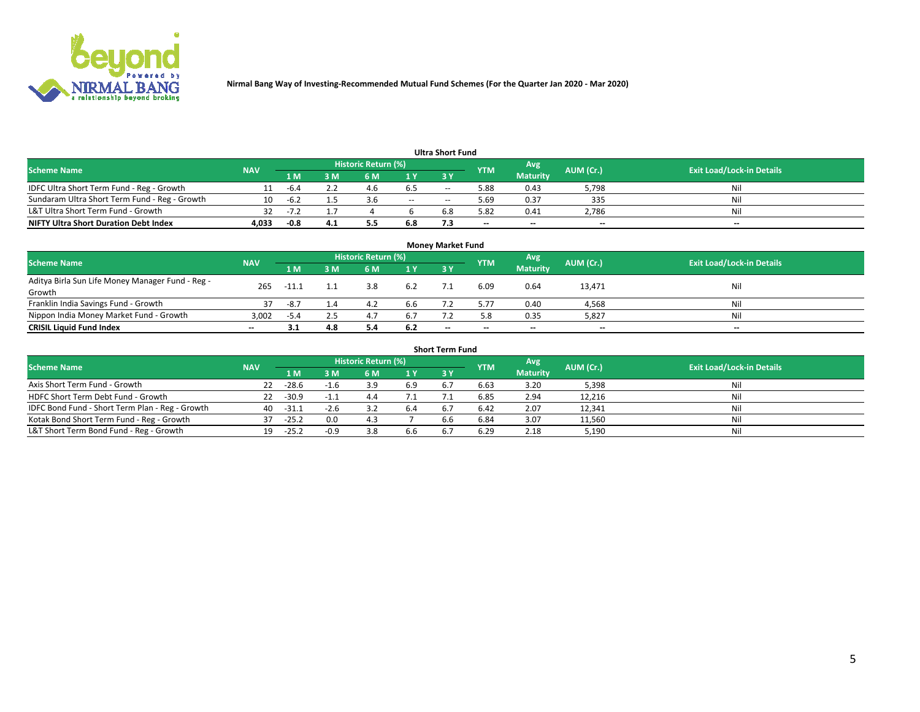

|                                               |            |        |     |                     |       | <b>Ultra Short Fund</b> |            |                 |           |                                  |
|-----------------------------------------------|------------|--------|-----|---------------------|-------|-------------------------|------------|-----------------|-----------|----------------------------------|
| <b>Scheme Name</b>                            | <b>NAV</b> |        |     | Historic Return (%) |       |                         | <b>YTM</b> | Avg             | AUM (Cr.) | <b>Exit Load/Lock-in Details</b> |
|                                               |            | 1 M    | 3 M | 6 M                 | 1 Y   | <b>3 Y</b>              |            | <b>Maturity</b> |           |                                  |
| IDFC Ultra Short Term Fund - Reg - Growth     |            | $-b.4$ |     | 4.6                 | 6.5   | $- -$                   | 5.88       | 0.43            | 5,798     | Nil                              |
| Sundaram Ultra Short Term Fund - Reg - Growth | 10         | -6.2   |     |                     | $- -$ | --                      | 5.69       | 0.37            | 335       | Nil                              |
| L&T Ultra Short Term Fund - Growth            |            | $-1$   |     |                     |       | 6.8                     | 5.82       | 0.41            | 2,786     | Nil                              |
| <b>NIFTY Ultra Short Duration Debt Index</b>  | 4.033      | $-0.8$ | 4.1 | 5.5                 | 6.8   |                         | $\sim$     | $\sim$          | $\sim$    | $- -$                            |

| <b>Money Market Fund</b>                         |            |       |     |                     |     |                          |                          |                 |           |                                  |  |  |  |
|--------------------------------------------------|------------|-------|-----|---------------------|-----|--------------------------|--------------------------|-----------------|-----------|----------------------------------|--|--|--|
| <b>Scheme Name</b>                               | <b>NAV</b> |       |     | Historic Return (%) |     |                          | <b>YTM</b>               | 'Avg            | AUM (Cr.) | <b>Exit Load/Lock-in Details</b> |  |  |  |
|                                                  |            | 1 M   | 3 M | 6 M                 | 1 Y | 3Y                       |                          | <b>Maturity</b> |           |                                  |  |  |  |
| Aditya Birla Sun Life Money Manager Fund - Reg - | 265        | -11.1 |     | 3.8                 | 6.2 |                          | 6.09                     | 0.64            | 13,471    | Nil                              |  |  |  |
| Growth                                           |            |       |     |                     |     |                          |                          |                 |           |                                  |  |  |  |
| Franklin India Savings Fund - Growth             | 37         | -8.7  | 1.4 | 4.2                 | 6.6 |                          | 5.77                     | 0.40            | 4,568     | Nil                              |  |  |  |
| Nippon India Money Market Fund - Growth          | 3,002      | -5.4  | 2.5 | 4.1                 | 6.7 |                          | 5.8                      | 0.35            | 5,827     | Nil                              |  |  |  |
| <b>CRISIL Liquid Fund Index</b>                  | $- -$      |       | 4.8 |                     | 6.2 | $\overline{\phantom{a}}$ | $\overline{\phantom{a}}$ | $\sim$          | $- -$     | $\sim$                           |  |  |  |

| <b>Short Term Fund</b>                          |            |         |        |                     |     |           |            |                 |           |                                  |  |  |  |  |
|-------------------------------------------------|------------|---------|--------|---------------------|-----|-----------|------------|-----------------|-----------|----------------------------------|--|--|--|--|
| <b>Scheme Name</b>                              | <b>NAV</b> |         |        | Historic Return (%) |     |           | <b>YTM</b> | Avg             | AUM (Cr.) | <b>Exit Load/Lock-in Details</b> |  |  |  |  |
|                                                 |            | 1 M     | 3 M    | 6 M                 | 1Y  | <b>3Y</b> |            | <b>Maturity</b> |           |                                  |  |  |  |  |
| Axis Short Term Fund - Growth                   | 22         | $-28.6$ | $-1.6$ |                     | 6.9 |           | 6.63       | 3.20            | 5,398     | Nil                              |  |  |  |  |
| HDFC Short Term Debt Fund - Growth              | 22         | $-30.9$ |        | 4.4                 |     |           | 6.85       | 2.94            | 12,216    | Nil                              |  |  |  |  |
| IDFC Bond Fund - Short Term Plan - Reg - Growth | 40         | $-31.1$ | $-2.6$ |                     |     |           | 6.42       | 2.07            | 12,341    | Nil                              |  |  |  |  |
| Kotak Bond Short Term Fund - Reg - Growth       |            | $-25.2$ | 0.0    | 4.3                 |     | 6.6       | 6.84       | 3.07            | 11,560    | Nil                              |  |  |  |  |
| L&T Short Term Bond Fund - Reg - Growth         | 19.        | $-25.2$ | $-0.9$ |                     | 6.6 |           | 6.29       | 2.18            | 5,190     | Nil                              |  |  |  |  |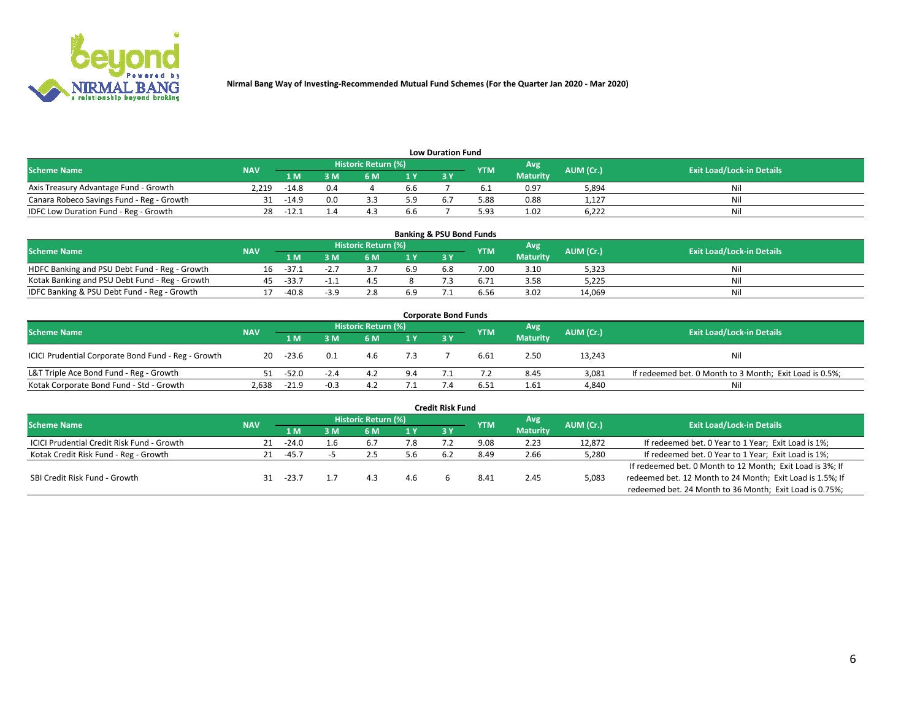

| <b>Low Duration Fund</b>                  |            |         |     |                            |      |     |            |                 |           |                                  |  |  |  |  |
|-------------------------------------------|------------|---------|-----|----------------------------|------|-----|------------|-----------------|-----------|----------------------------------|--|--|--|--|
| <b>Scheme Name</b>                        | <b>NAV</b> |         |     | <b>Historic Return (%)</b> |      |     | <b>YTM</b> | Avg             | AUM (Cr.) | <b>Exit Load/Lock-in Details</b> |  |  |  |  |
|                                           |            | 1 M     | ያ M | 5 M                        | 4 V. |     |            | <b>Maturity</b> |           |                                  |  |  |  |  |
| Axis Treasury Advantage Fund - Growth     | 2.219      | $-14.8$ | 0.4 |                            | b.b  |     |            | 0.97            | 5,894     | Nil                              |  |  |  |  |
| Canara Robeco Savings Fund - Reg - Growth |            | $-14.9$ | 0.0 |                            | 5.9  | 6.7 | 5.88       | 0.88            | 1,127     | Nil                              |  |  |  |  |
| IDFC Low Duration Fund - Reg - Growth     |            | -12.1   |     |                            | b.b  |     | 5.93       | 1.02            | 6,222     | Nil                              |  |  |  |  |

| <b>Banking &amp; PSU Bond Funds</b>            |            |         |        |                            |      |           |            |                 |           |                                  |  |  |  |
|------------------------------------------------|------------|---------|--------|----------------------------|------|-----------|------------|-----------------|-----------|----------------------------------|--|--|--|
| <b>Scheme Name</b>                             | <b>NAV</b> |         |        | <b>Historic Return (%)</b> |      |           | <b>YTM</b> | Avg             | AUM (Cr.) | <b>Exit Load/Lock-in Details</b> |  |  |  |
|                                                |            | 1 M     | sм     | 6 M                        | 71 Y | <b>3Y</b> |            | <b>Maturity</b> |           |                                  |  |  |  |
| HDFC Banking and PSU Debt Fund - Reg - Growth  | 16         | $-37.1$ |        |                            | 6.9  | 6.8       | 7.00       | 3.10            | 5,323     | Ni                               |  |  |  |
| Kotak Banking and PSU Debt Fund - Reg - Growth |            | $-33.7$ |        |                            |      |           |            | 3.58            | 5,225     | Ni                               |  |  |  |
| IDFC Banking & PSU Debt Fund - Reg - Growth    |            | $-40.8$ | $-3.9$ |                            | 6.9  |           | 6.56       | 3.02            | 14.069    | Ni                               |  |  |  |

| <b>Corporate Bond Funds</b>                         |            |         |        |                     |     |     |            |                 |           |                                                         |  |  |  |  |
|-----------------------------------------------------|------------|---------|--------|---------------------|-----|-----|------------|-----------------|-----------|---------------------------------------------------------|--|--|--|--|
| <b>Scheme Name</b>                                  | <b>NAV</b> |         |        | Historic Return (%) |     |     | <b>YTM</b> | Avg'            | AUM (Cr.) | <b>Exit Load/Lock-in Details</b>                        |  |  |  |  |
|                                                     |            | 1 M     | : M    | 6 M                 | 1 Y | 3 Y |            | <b>Maturity</b> |           |                                                         |  |  |  |  |
| ICICI Prudential Corporate Bond Fund - Reg - Growth | 20         | -23.6   | 0.1    | 4.b                 |     |     | 6.61       | 2.50            | 13,243    | Nil                                                     |  |  |  |  |
| L&T Triple Ace Bond Fund - Reg - Growth             |            | $-52.0$ |        | 4.2                 |     |     |            | 8.45            | 3,081     | If redeemed bet. 0 Month to 3 Month; Exit Load is 0.5%; |  |  |  |  |
| Kotak Corporate Bond Fund - Std - Growth            | 2.638      | $-21.9$ | $-0.3$ | 4.Z                 |     |     | 6.51       | 1.61            | 4,840     | Nil                                                     |  |  |  |  |

|                                            |            |         |     |                     |     | <b>Credit Risk Fund</b> |            |                 |           |                                                           |
|--------------------------------------------|------------|---------|-----|---------------------|-----|-------------------------|------------|-----------------|-----------|-----------------------------------------------------------|
| <b>Scheme Name</b>                         | <b>NAV</b> |         |     | Historic Return (%) |     |                         | <b>YTM</b> | Avg             | AUM (Cr.) | <b>Exit Load/Lock-in Details</b>                          |
|                                            |            | 1 M     | : M | 6 M                 | 1 Y | 3Y                      |            | <b>Maturity</b> |           |                                                           |
| ICICI Prudential Credit Risk Fund - Growth | 21         | $-24.0$ | 1.6 | b.,                 | 7.8 |                         | 9.08       | 2.23            | 12,872    | If redeemed bet. 0 Year to 1 Year; Exit Load is 1%;       |
| Kotak Credit Risk Fund - Reg - Growth      |            | -45.7   |     |                     | 5.6 |                         | 8.49       | 2.66            | 5,280     | If redeemed bet. 0 Year to 1 Year; Exit Load is 1%;       |
|                                            |            |         |     |                     |     |                         |            |                 |           | If redeemed bet. 0 Month to 12 Month; Exit Load is 3%; If |
| SBI Credit Risk Fund - Growth              |            | -23.    |     | 4.3                 | 4.6 |                         | 8.41       | 2.45            | 5,083     | redeemed bet. 12 Month to 24 Month; Exit Load is 1.5%; If |
|                                            |            |         |     |                     |     |                         |            |                 |           | redeemed bet. 24 Month to 36 Month; Exit Load is 0.75%;   |